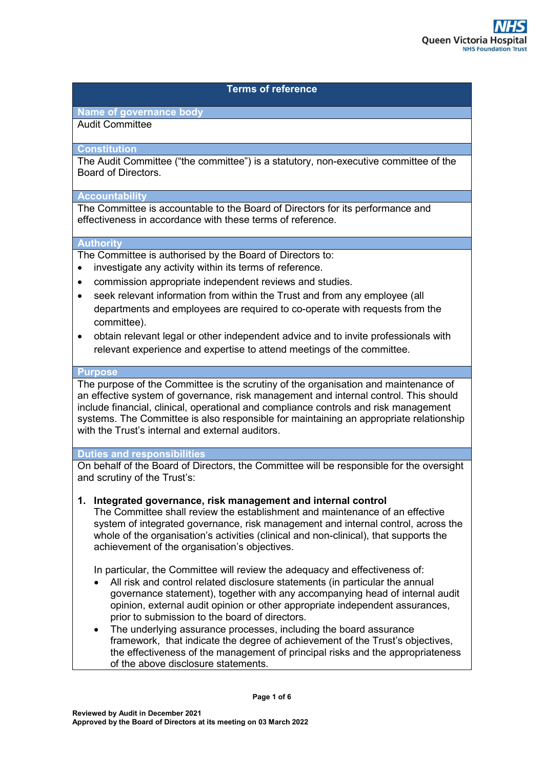#### **Terms of reference**

# **Name of governance body**

#### Audit Committee

#### **Constitution**

The Audit Committee ("the committee") is a statutory, non-executive committee of the Board of Directors.

### **Accountability**

The Committee is accountable to the Board of Directors for its performance and effectiveness in accordance with these terms of reference.

### **Authority**

The Committee is authorised by the Board of Directors to:

- investigate any activity within its terms of reference.
- commission appropriate independent reviews and studies.
- seek relevant information from within the Trust and from any employee (all departments and employees are required to co-operate with requests from the committee).
- obtain relevant legal or other independent advice and to invite professionals with relevant experience and expertise to attend meetings of the committee.

#### **Purpose**

The purpose of the Committee is the scrutiny of the organisation and maintenance of an effective system of governance, risk management and internal control. This should include financial, clinical, operational and compliance controls and risk management systems. The Committee is also responsible for maintaining an appropriate relationship with the Trust's internal and external auditors.

#### **Duties and responsibilities**

On behalf of the Board of Directors, the Committee will be responsible for the oversight and scrutiny of the Trust's:

#### **1. Integrated governance, risk management and internal control**

The Committee shall review the establishment and maintenance of an effective system of integrated governance, risk management and internal control, across the whole of the organisation's activities (clinical and non-clinical), that supports the achievement of the organisation's objectives.

In particular, the Committee will review the adequacy and effectiveness of:

- All risk and control related disclosure statements (in particular the annual governance statement), together with any accompanying head of internal audit opinion, external audit opinion or other appropriate independent assurances, prior to submission to the board of directors.
- The underlying assurance processes, including the board assurance framework, that indicate the degree of achievement of the Trust's objectives, the effectiveness of the management of principal risks and the appropriateness of the above disclosure statements.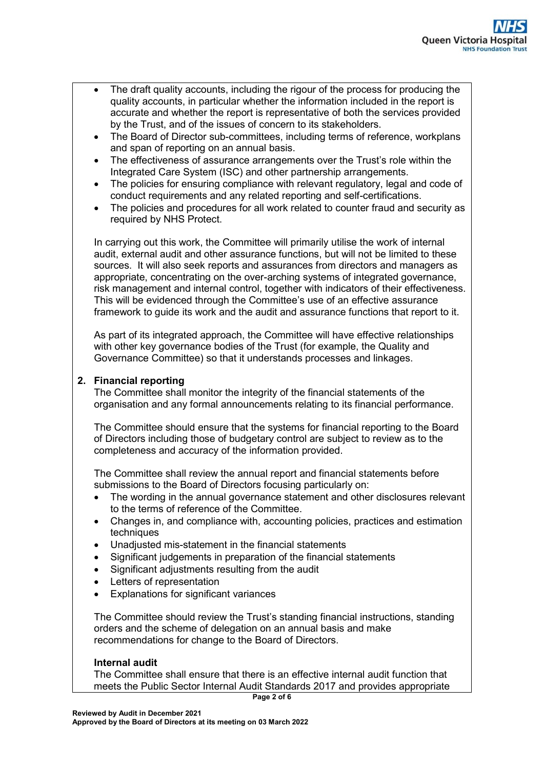- The draft quality accounts, including the rigour of the process for producing the quality accounts, in particular whether the information included in the report is accurate and whether the report is representative of both the services provided by the Trust, and of the issues of concern to its stakeholders.
- The Board of Director sub-committees, including terms of reference, workplans and span of reporting on an annual basis.
- The effectiveness of assurance arrangements over the Trust's role within the Integrated Care System (ISC) and other partnership arrangements.
- The policies for ensuring compliance with relevant regulatory, legal and code of conduct requirements and any related reporting and self-certifications.
- The policies and procedures for all work related to counter fraud and security as required by NHS Protect.

In carrying out this work, the Committee will primarily utilise the work of internal audit, external audit and other assurance functions, but will not be limited to these sources. It will also seek reports and assurances from directors and managers as appropriate, concentrating on the over-arching systems of integrated governance, risk management and internal control, together with indicators of their effectiveness. This will be evidenced through the Committee's use of an effective assurance framework to guide its work and the audit and assurance functions that report to it.

As part of its integrated approach, the Committee will have effective relationships with other key governance bodies of the Trust (for example, the Quality and Governance Committee) so that it understands processes and linkages.

# **2. Financial reporting**

The Committee shall monitor the integrity of the financial statements of the organisation and any formal announcements relating to its financial performance.

The Committee should ensure that the systems for financial reporting to the Board of Directors including those of budgetary control are subject to review as to the completeness and accuracy of the information provided.

The Committee shall review the annual report and financial statements before submissions to the Board of Directors focusing particularly on:

- The wording in the annual governance statement and other disclosures relevant to the terms of reference of the Committee.
- Changes in, and compliance with, accounting policies, practices and estimation techniques
- Unadjusted mis-statement in the financial statements
- Significant judgements in preparation of the financial statements
- Significant adjustments resulting from the audit
- Letters of representation
- Explanations for significant variances

The Committee should review the Trust's standing financial instructions, standing orders and the scheme of delegation on an annual basis and make recommendations for change to the Board of Directors.

# **Internal audit**

The Committee shall ensure that there is an effective internal audit function that meets the Public Sector Internal Audit Standards 2017 and provides appropriate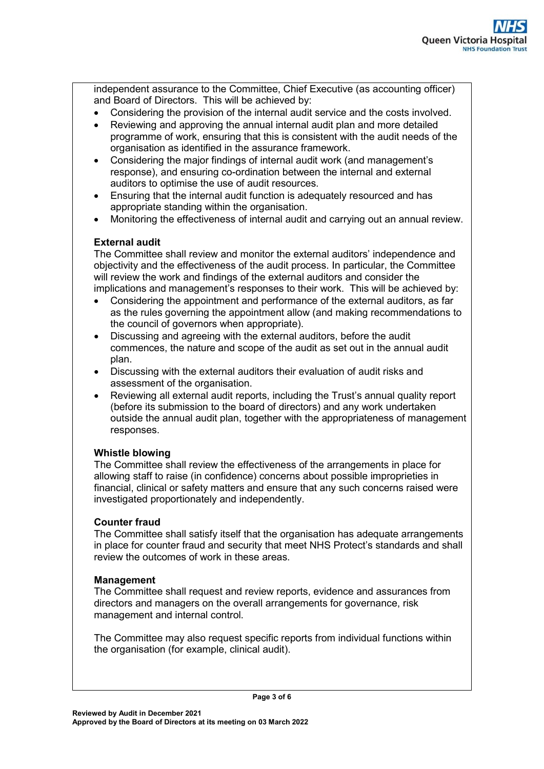independent assurance to the Committee, Chief Executive (as accounting officer) and Board of Directors. This will be achieved by:

- Considering the provision of the internal audit service and the costs involved.
- Reviewing and approving the annual internal audit plan and more detailed programme of work, ensuring that this is consistent with the audit needs of the organisation as identified in the assurance framework.
- Considering the major findings of internal audit work (and management's response), and ensuring co-ordination between the internal and external auditors to optimise the use of audit resources.
- Ensuring that the internal audit function is adequately resourced and has appropriate standing within the organisation.
- Monitoring the effectiveness of internal audit and carrying out an annual review.

# **External audit**

The Committee shall review and monitor the external auditors' independence and objectivity and the effectiveness of the audit process. In particular, the Committee will review the work and findings of the external auditors and consider the implications and management's responses to their work. This will be achieved by:

- Considering the appointment and performance of the external auditors, as far as the rules governing the appointment allow (and making recommendations to the council of governors when appropriate).
- Discussing and agreeing with the external auditors, before the audit commences, the nature and scope of the audit as set out in the annual audit plan.
- Discussing with the external auditors their evaluation of audit risks and assessment of the organisation.
- Reviewing all external audit reports, including the Trust's annual quality report (before its submission to the board of directors) and any work undertaken outside the annual audit plan, together with the appropriateness of management responses.

# **Whistle blowing**

The Committee shall review the effectiveness of the arrangements in place for allowing staff to raise (in confidence) concerns about possible improprieties in financial, clinical or safety matters and ensure that any such concerns raised were investigated proportionately and independently.

# **Counter fraud**

The Committee shall satisfy itself that the organisation has adequate arrangements in place for counter fraud and security that meet NHS Protect's standards and shall review the outcomes of work in these areas.

# **Management**

The Committee shall request and review reports, evidence and assurances from directors and managers on the overall arrangements for governance, risk management and internal control.

The Committee may also request specific reports from individual functions within the organisation (for example, clinical audit).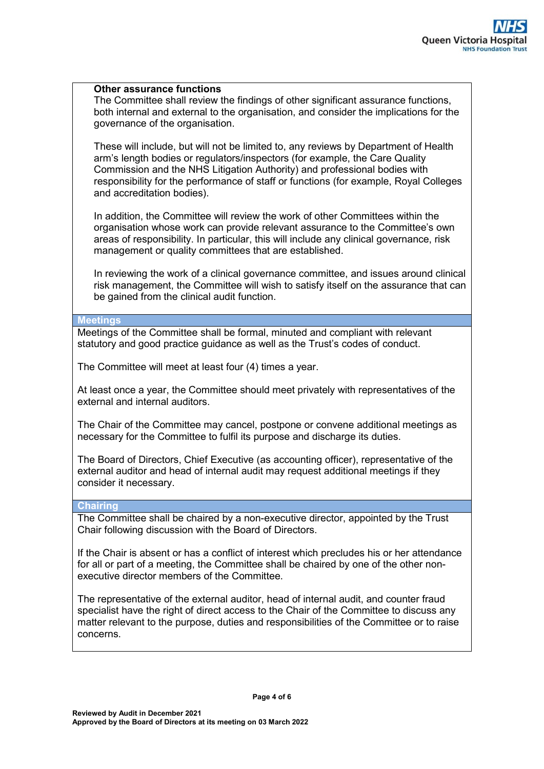### **Other assurance functions**

The Committee shall review the findings of other significant assurance functions, both internal and external to the organisation, and consider the implications for the governance of the organisation.

These will include, but will not be limited to, any reviews by Department of Health arm's length bodies or regulators/inspectors (for example, the Care Quality Commission and the NHS Litigation Authority) and professional bodies with responsibility for the performance of staff or functions (for example, Royal Colleges and accreditation bodies).

In addition, the Committee will review the work of other Committees within the organisation whose work can provide relevant assurance to the Committee's own areas of responsibility. In particular, this will include any clinical governance, risk management or quality committees that are established.

In reviewing the work of a clinical governance committee, and issues around clinical risk management, the Committee will wish to satisfy itself on the assurance that can be gained from the clinical audit function.

#### **Meetings**

Meetings of the Committee shall be formal, minuted and compliant with relevant statutory and good practice guidance as well as the Trust's codes of conduct.

The Committee will meet at least four (4) times a year.

At least once a year, the Committee should meet privately with representatives of the external and internal auditors.

The Chair of the Committee may cancel, postpone or convene additional meetings as necessary for the Committee to fulfil its purpose and discharge its duties.

The Board of Directors, Chief Executive (as accounting officer), representative of the external auditor and head of internal audit may request additional meetings if they consider it necessary.

### **Chairing**

The Committee shall be chaired by a non-executive director, appointed by the Trust Chair following discussion with the Board of Directors.

If the Chair is absent or has a conflict of interest which precludes his or her attendance for all or part of a meeting, the Committee shall be chaired by one of the other nonexecutive director members of the Committee.

The representative of the external auditor, head of internal audit, and counter fraud specialist have the right of direct access to the Chair of the Committee to discuss any matter relevant to the purpose, duties and responsibilities of the Committee or to raise concerns.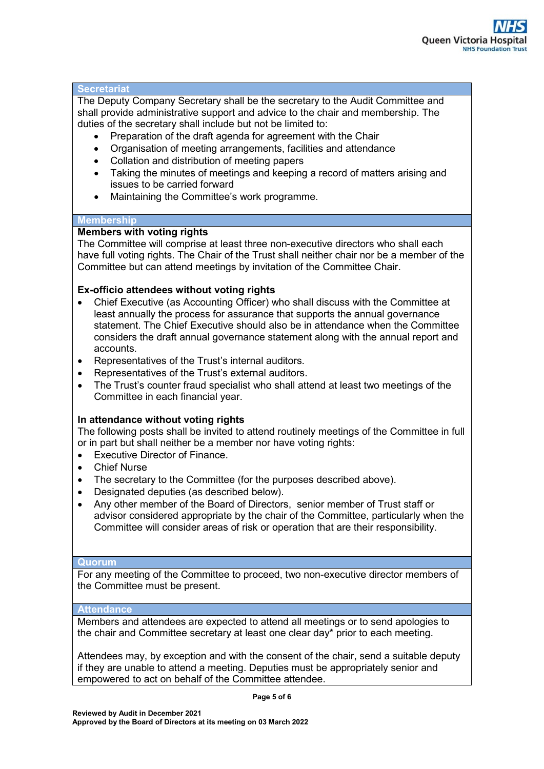### **Secretariat**

The Deputy Company Secretary shall be the secretary to the Audit Committee and shall provide administrative support and advice to the chair and membership. The duties of the secretary shall include but not be limited to:

- Preparation of the draft agenda for agreement with the Chair
- Organisation of meeting arrangements, facilities and attendance
- Collation and distribution of meeting papers
- Taking the minutes of meetings and keeping a record of matters arising and issues to be carried forward
- Maintaining the Committee's work programme.

# **Membership**

# **Members with voting rights**

The Committee will comprise at least three non-executive directors who shall each have full voting rights. The Chair of the Trust shall neither chair nor be a member of the Committee but can attend meetings by invitation of the Committee Chair.

# **Ex-officio attendees without voting rights**

- Chief Executive (as Accounting Officer) who shall discuss with the Committee at least annually the process for assurance that supports the annual governance statement. The Chief Executive should also be in attendance when the Committee considers the draft annual governance statement along with the annual report and accounts.
- Representatives of the Trust's internal auditors.
- Representatives of the Trust's external auditors.
- The Trust's counter fraud specialist who shall attend at least two meetings of the Committee in each financial year.

# **In attendance without voting rights**

The following posts shall be invited to attend routinely meetings of the Committee in full or in part but shall neither be a member nor have voting rights:

- Executive Director of Finance.
- Chief Nurse
- The secretary to the Committee (for the purposes described above).
- Designated deputies (as described below).
- Any other member of the Board of Directors, senior member of Trust staff or advisor considered appropriate by the chair of the Committee, particularly when the Committee will consider areas of risk or operation that are their responsibility.

#### **Quorum**

For any meeting of the Committee to proceed, two non-executive director members of the Committee must be present.

# **Attendance**

Members and attendees are expected to attend all meetings or to send apologies to the chair and Committee secretary at least one clear day\* prior to each meeting.

Attendees may, by exception and with the consent of the chair, send a suitable deputy if they are unable to attend a meeting. Deputies must be appropriately senior and empowered to act on behalf of the Committee attendee.